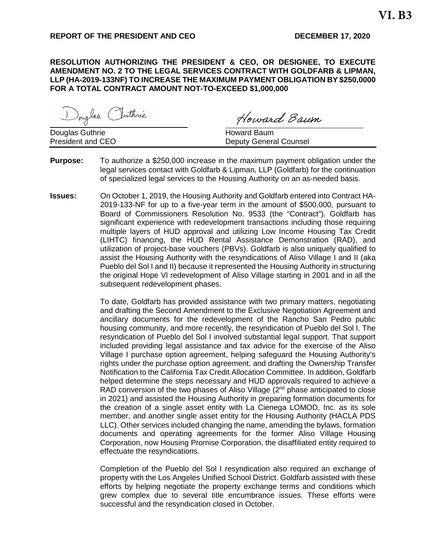## **REPORT OF THE PRESIDENT AND CEO DECEMBER 17, 2020**

**RESOLUTION AUTHORIZING THE PRESIDENT & CEO, OR DESIGNEE, TO EXECUTE AMENDMENT NO. 2 TO THE LEGAL SERVICES CONTRACT WITH GOLDFARB & LIPMAN, LLP (HA-2019-133NF) TO INCREASE THE MAXIMUM PAYMENT OBLIGATION BY \$250,0000 FOR A TOTAL CONTRACT AMOUNT NOT-TO-EXCEED \$1,000,000**

Douglas Puttine

Douglas Guthrie **Howard Baum**<br>
President and CEO **Howard Baum**<br>
Deputy Genera

Howard Baum

**Deputy General Counsel** 

- **Purpose:** To authorize a \$250,000 increase in the maximum payment obligation under the legal services contact with Goldfarb & Lipman, LLP (Goldfarb) for the continuation of specialized legal services to the Housing Authority on an as-needed basis.
- **Issues:** On October 1, 2019, the Housing Authority and Goldfarb entered into Contract HA-2019-133-NF for up to a five-year term in the amount of \$500,000, pursuant to Board of Commissioners Resolution No. 9533 (the "Contract"). Goldfarb has significant experience with redevelopment transactions including those requiring multiple layers of HUD approval and utilizing Low Income Housing Tax Credit (LIHTC) financing, the HUD Rental Assistance Demonstration (RAD), and utilization of project-base vouchers (PBVs). Goldfarb is also uniquely qualified to assist the Housing Authority with the resyndications of Aliso Village I and II (aka Pueblo del Sol I and II) because it represented the Housing Authority in structuring the original Hope VI redevelopment of Aliso Village starting in 2001 and in all the subsequent redevelopment phases.

To date, Goldfarb has provided assistance with two primary matters, negotiating and drafting the Second Amendment to the Exclusive Negotiation Agreement and ancillary documents for the redevelopment of the Rancho San Pedro public housing community, and more recently, the resyndication of Pueblo del Sol I. The resyndication of Pueblo del Sol I involved substantial legal support. That support included providing legal assistance and tax advice for the exercise of the Aliso Village I purchase option agreement, helping safeguard the Housing Authority's rights under the purchase option agreement, and drafting the Ownership Transfer Notification to the California Tax Credit Allocation Committee. In addition, Goldfarb helped determine the steps necessary and HUD approvals required to achieve a RAD conversion of the two phases of Aliso Village (2<sup>nd</sup> phase anticipated to close in 2021) and assisted the Housing Authority in preparing formation documents for the creation of a single asset entity with La Cienega LOMOD, Inc. as its sole member, and another single asset entity for the Housing Authority (HACLA PDS LLC). Other services included changing the name, amending the bylaws, formation documents and operating agreements for the former Aliso Village Housing Corporation, now Housing Promise Corporation, the disaffiliated entity required to effectuate the resyndications.

Completion of the Pueblo del Sol I resyndication also required an exchange of property with the Los Angeles Unified School District. Goldfarb assisted with these efforts by helping negotiate the property exchange terms and conditions which grew complex due to several title encumbrance issues. These efforts were successful and the resyndication closed in October.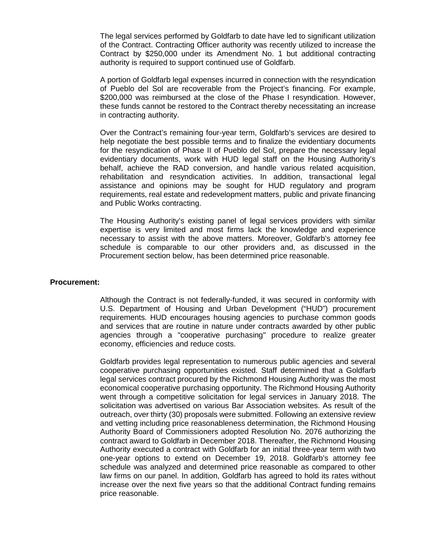The legal services performed by Goldfarb to date have led to significant utilization of the Contract. Contracting Officer authority was recently utilized to increase the Contract by \$250,000 under its Amendment No. 1 but additional contracting authority is required to support continued use of Goldfarb.

A portion of Goldfarb legal expenses incurred in connection with the resyndication of Pueblo del Sol are recoverable from the Project's financing. For example, \$200,000 was reimbursed at the close of the Phase I resyndication. However, these funds cannot be restored to the Contract thereby necessitating an increase in contracting authority.

Over the Contract's remaining four-year term, Goldfarb's services are desired to help negotiate the best possible terms and to finalize the evidentiary documents for the resyndication of Phase II of Pueblo del Sol, prepare the necessary legal evidentiary documents, work with HUD legal staff on the Housing Authority's behalf, achieve the RAD conversion, and handle various related acquisition, rehabilitation and resyndication activities. In addition, transactional legal assistance and opinions may be sought for HUD regulatory and program requirements, real estate and redevelopment matters, public and private financing and Public Works contracting.

The Housing Authority's existing panel of legal services providers with similar expertise is very limited and most firms lack the knowledge and experience necessary to assist with the above matters. Moreover, Goldfarb's attorney fee schedule is comparable to our other providers and, as discussed in the Procurement section below, has been determined price reasonable.

#### **Procurement:**

Although the Contract is not federally-funded, it was secured in conformity with U.S. Department of Housing and Urban Development ("HUD") procurement requirements. HUD encourages housing agencies to purchase common goods and services that are routine in nature under contracts awarded by other public agencies through a "cooperative purchasing" procedure to realize greater economy, efficiencies and reduce costs.

Goldfarb provides legal representation to numerous public agencies and several cooperative purchasing opportunities existed. Staff determined that a Goldfarb legal services contract procured by the Richmond Housing Authority was the most economical cooperative purchasing opportunity. The Richmond Housing Authority went through a competitive solicitation for legal services in January 2018. The solicitation was advertised on various Bar Association websites. As result of the outreach, over thirty (30) proposals were submitted. Following an extensive review and vetting including price reasonableness determination, the Richmond Housing Authority Board of Commissioners adopted Resolution No. 2076 authorizing the contract award to Goldfarb in December 2018. Thereafter, the Richmond Housing Authority executed a contract with Goldfarb for an initial three-year term with two one-year options to extend on December 19, 2018. Goldfarb's attorney fee schedule was analyzed and determined price reasonable as compared to other law firms on our panel. In addition, Goldfarb has agreed to hold its rates without increase over the next five years so that the additional Contract funding remains price reasonable.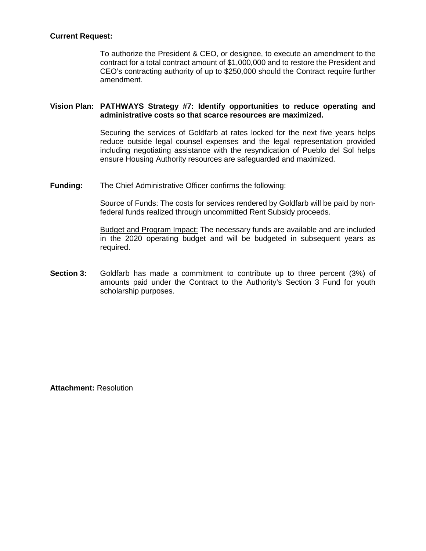# **Current Request:**

To authorize the President & CEO, or designee, to execute an amendment to the contract for a total contract amount of \$1,000,000 and to restore the President and CEO's contracting authority of up to \$250,000 should the Contract require further amendment.

## **Vision Plan: PATHWAYS Strategy #7: Identify opportunities to reduce operating and administrative costs so that scarce resources are maximized.**

Securing the services of Goldfarb at rates locked for the next five years helps reduce outside legal counsel expenses and the legal representation provided including negotiating assistance with the resyndication of Pueblo del Sol helps ensure Housing Authority resources are safeguarded and maximized.

**Funding:** The Chief Administrative Officer confirms the following:

Source of Funds: The costs for services rendered by Goldfarb will be paid by nonfederal funds realized through uncommitted Rent Subsidy proceeds.

Budget and Program Impact: The necessary funds are available and are included in the 2020 operating budget and will be budgeted in subsequent years as required.

**Section 3:** Goldfarb has made a commitment to contribute up to three percent (3%) of amounts paid under the Contract to the Authority's Section 3 Fund for youth scholarship purposes.

**Attachment:** Resolution